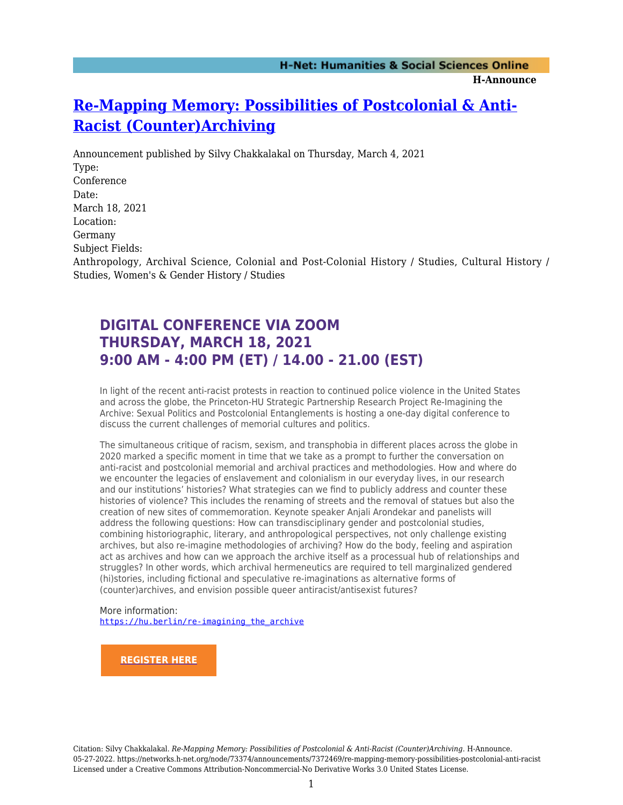## **[Re-Mapping Memory: Possibilities of Postcolonial & Anti-](https://networks.h-net.org/node/73374/announcements/7372469/re-mapping-memory-possibilities-postcolonial-anti-racist)[Racist \(Counter\)Archiving](https://networks.h-net.org/node/73374/announcements/7372469/re-mapping-memory-possibilities-postcolonial-anti-racist)**

Announcement published by Silvy Chakkalakal on Thursday, March 4, 2021 Type: Conference Date: March 18, 2021 Location: Germany Subject Fields: Anthropology, Archival Science, Colonial and Post-Colonial History / Studies, Cultural History / Studies, Women's & Gender History / Studies

## **DIGITAL CONFERENCE VIA ZOOM THURSDAY, MARCH 18, 2021 9:00 AM - 4:00 PM (ET) / 14.00 - 21.00 (EST)**

In light of the recent anti-racist protests in reaction to continued police violence in the United States and across the globe, the Princeton-HU Strategic Partnership Research Project Re-Imagining the Archive: Sexual Politics and Postcolonial Entanglements is hosting a one-day digital conference to discuss the current challenges of memorial cultures and politics.

The simultaneous critique of racism, sexism, and transphobia in different places across the globe in 2020 marked a specific moment in time that we take as a prompt to further the conversation on anti-racist and postcolonial memorial and archival practices and methodologies. How and where do we encounter the legacies of enslavement and colonialism in our everyday lives, in our research and our institutions' histories? What strategies can we find to publicly address and counter these histories of violence? This includes the renaming of streets and the removal of statues but also the creation of new sites of commemoration. Keynote speaker Anjali Arondekar and panelists will address the following questions: How can transdisciplinary gender and postcolonial studies, combining historiographic, literary, and anthropological perspectives, not only challenge existing archives, but also re-imagine methodologies of archiving? How do the body, feeling and aspiration act as archives and how can we approach the archive itself as a processual hub of relationships and struggles? In other words, which archival hermeneutics are required to tell marginalized gendered (hi)stories, including fictional and speculative re-imaginations as alternative forms of (counter)archives, and envision possible queer antiracist/antisexist futures?

More information: [https://hu.berlin/re-imagining\\_the\\_archive](https://hu.berlin/re-imagining_the_archive)

**[REGISTER HERE](https://princeton.zoom.us/meeting/register/tJIqcuGuqT8qGtx098QvwKoZaWUKWrfUfch8)**

Citation: Silvy Chakkalakal. *Re-Mapping Memory: Possibilities of Postcolonial & Anti-Racist (Counter)Archiving*. H-Announce. 05-27-2022. https://networks.h-net.org/node/73374/announcements/7372469/re-mapping-memory-possibilities-postcolonial-anti-racist Licensed under a Creative Commons Attribution-Noncommercial-No Derivative Works 3.0 United States License.